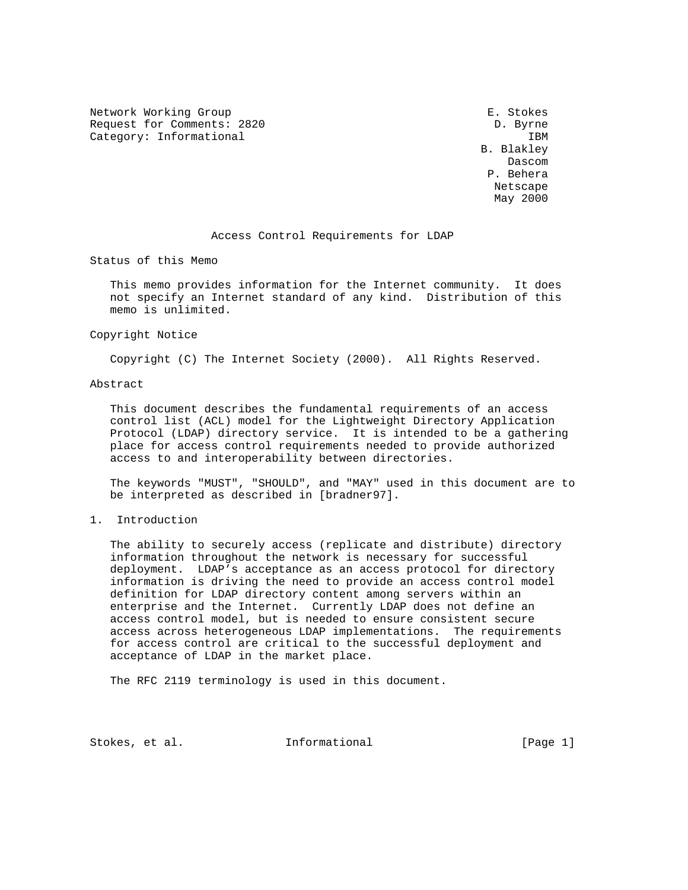Network Working Group **E. Stokes** Request for Comments: 2820 D. Byrne Category: Informational intervals and the set of the set of the set of the set of the set of the set of the set of the set of the set of the set of the set of the set of the set of the set of the set of the set of the set

 B. Blakley **Dascom Dascom**  P. Behera Netscape May 2000

## Access Control Requirements for LDAP

Status of this Memo

 This memo provides information for the Internet community. It does not specify an Internet standard of any kind. Distribution of this memo is unlimited.

Copyright Notice

Copyright (C) The Internet Society (2000). All Rights Reserved.

## Abstract

 This document describes the fundamental requirements of an access control list (ACL) model for the Lightweight Directory Application Protocol (LDAP) directory service. It is intended to be a gathering place for access control requirements needed to provide authorized access to and interoperability between directories.

 The keywords "MUST", "SHOULD", and "MAY" used in this document are to be interpreted as described in [bradner97].

#### 1. Introduction

 The ability to securely access (replicate and distribute) directory information throughout the network is necessary for successful deployment. LDAP's acceptance as an access protocol for directory information is driving the need to provide an access control model definition for LDAP directory content among servers within an enterprise and the Internet. Currently LDAP does not define an access control model, but is needed to ensure consistent secure access across heterogeneous LDAP implementations. The requirements for access control are critical to the successful deployment and acceptance of LDAP in the market place.

The RFC 2119 terminology is used in this document.

Stokes, et al. Informational [Page 1]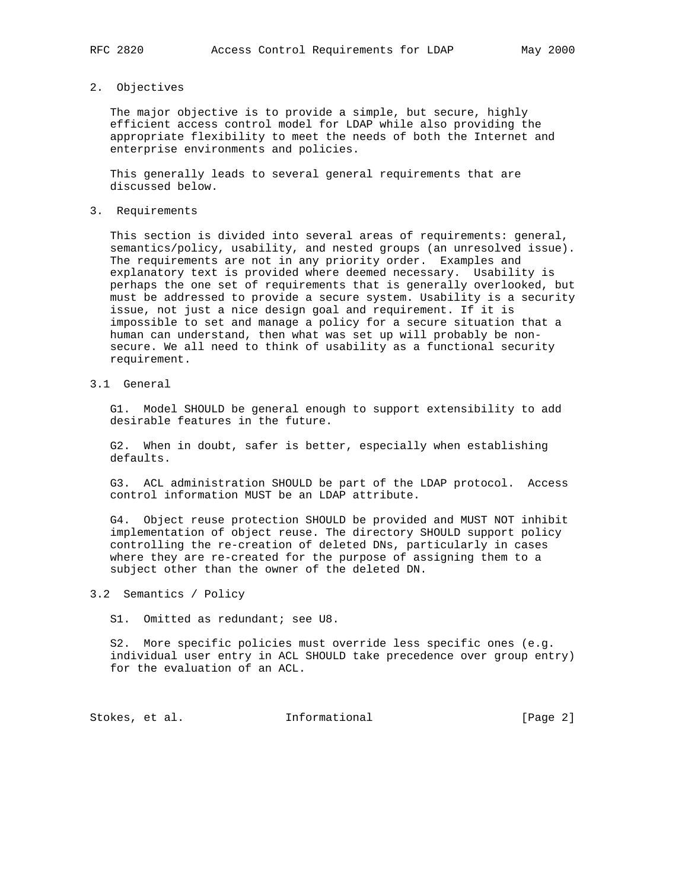### 2. Objectives

 The major objective is to provide a simple, but secure, highly efficient access control model for LDAP while also providing the appropriate flexibility to meet the needs of both the Internet and enterprise environments and policies.

 This generally leads to several general requirements that are discussed below.

3. Requirements

 This section is divided into several areas of requirements: general, semantics/policy, usability, and nested groups (an unresolved issue). The requirements are not in any priority order. Examples and explanatory text is provided where deemed necessary. Usability is perhaps the one set of requirements that is generally overlooked, but must be addressed to provide a secure system. Usability is a security issue, not just a nice design goal and requirement. If it is impossible to set and manage a policy for a secure situation that a human can understand, then what was set up will probably be non secure. We all need to think of usability as a functional security requirement.

3.1 General

 G1. Model SHOULD be general enough to support extensibility to add desirable features in the future.

 G2. When in doubt, safer is better, especially when establishing defaults.

 G3. ACL administration SHOULD be part of the LDAP protocol. Access control information MUST be an LDAP attribute.

 G4. Object reuse protection SHOULD be provided and MUST NOT inhibit implementation of object reuse. The directory SHOULD support policy controlling the re-creation of deleted DNs, particularly in cases where they are re-created for the purpose of assigning them to a subject other than the owner of the deleted DN.

3.2 Semantics / Policy

S1. Omitted as redundant; see U8.

 S2. More specific policies must override less specific ones (e.g. individual user entry in ACL SHOULD take precedence over group entry) for the evaluation of an ACL.

Stokes, et al. 1nformational 1999 [Page 2]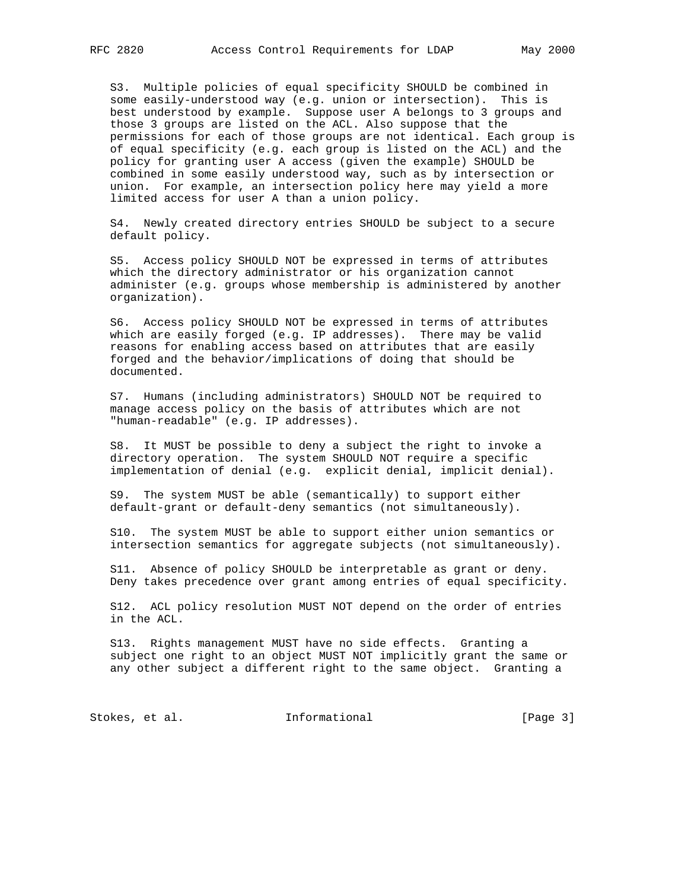S3. Multiple policies of equal specificity SHOULD be combined in some easily-understood way (e.g. union or intersection). This is best understood by example. Suppose user A belongs to 3 groups and those 3 groups are listed on the ACL. Also suppose that the permissions for each of those groups are not identical. Each group is of equal specificity (e.g. each group is listed on the ACL) and the policy for granting user A access (given the example) SHOULD be combined in some easily understood way, such as by intersection or union. For example, an intersection policy here may yield a more limited access for user A than a union policy.

 S4. Newly created directory entries SHOULD be subject to a secure default policy.

 S5. Access policy SHOULD NOT be expressed in terms of attributes which the directory administrator or his organization cannot administer (e.g. groups whose membership is administered by another organization).

 S6. Access policy SHOULD NOT be expressed in terms of attributes which are easily forged (e.g. IP addresses). There may be valid reasons for enabling access based on attributes that are easily forged and the behavior/implications of doing that should be documented.

 S7. Humans (including administrators) SHOULD NOT be required to manage access policy on the basis of attributes which are not "human-readable" (e.g. IP addresses).

 S8. It MUST be possible to deny a subject the right to invoke a directory operation. The system SHOULD NOT require a specific implementation of denial (e.g. explicit denial, implicit denial).

 S9. The system MUST be able (semantically) to support either default-grant or default-deny semantics (not simultaneously).

 S10. The system MUST be able to support either union semantics or intersection semantics for aggregate subjects (not simultaneously).

 S11. Absence of policy SHOULD be interpretable as grant or deny. Deny takes precedence over grant among entries of equal specificity.

 S12. ACL policy resolution MUST NOT depend on the order of entries in the ACL.

 S13. Rights management MUST have no side effects. Granting a subject one right to an object MUST NOT implicitly grant the same or any other subject a different right to the same object. Granting a

Stokes, et al. 1nformational [Page 3]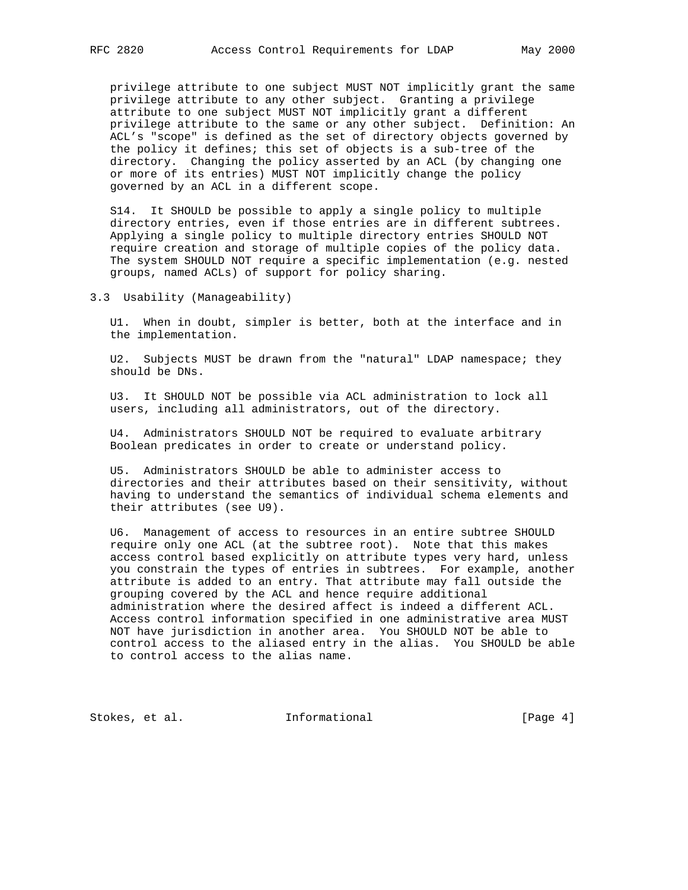privilege attribute to one subject MUST NOT implicitly grant the same privilege attribute to any other subject. Granting a privilege attribute to one subject MUST NOT implicitly grant a different privilege attribute to the same or any other subject. Definition: An ACL's "scope" is defined as the set of directory objects governed by the policy it defines; this set of objects is a sub-tree of the directory. Changing the policy asserted by an ACL (by changing one or more of its entries) MUST NOT implicitly change the policy governed by an ACL in a different scope.

 S14. It SHOULD be possible to apply a single policy to multiple directory entries, even if those entries are in different subtrees. Applying a single policy to multiple directory entries SHOULD NOT require creation and storage of multiple copies of the policy data. The system SHOULD NOT require a specific implementation (e.g. nested groups, named ACLs) of support for policy sharing.

3.3 Usability (Manageability)

 U1. When in doubt, simpler is better, both at the interface and in the implementation.

 U2. Subjects MUST be drawn from the "natural" LDAP namespace; they should be DNs.

 U3. It SHOULD NOT be possible via ACL administration to lock all users, including all administrators, out of the directory.

 U4. Administrators SHOULD NOT be required to evaluate arbitrary Boolean predicates in order to create or understand policy.

 U5. Administrators SHOULD be able to administer access to directories and their attributes based on their sensitivity, without having to understand the semantics of individual schema elements and their attributes (see U9).

 U6. Management of access to resources in an entire subtree SHOULD require only one ACL (at the subtree root). Note that this makes access control based explicitly on attribute types very hard, unless you constrain the types of entries in subtrees. For example, another attribute is added to an entry. That attribute may fall outside the grouping covered by the ACL and hence require additional administration where the desired affect is indeed a different ACL. Access control information specified in one administrative area MUST NOT have jurisdiction in another area. You SHOULD NOT be able to control access to the aliased entry in the alias. You SHOULD be able to control access to the alias name.

Stokes, et al. 1nformational [Page 4]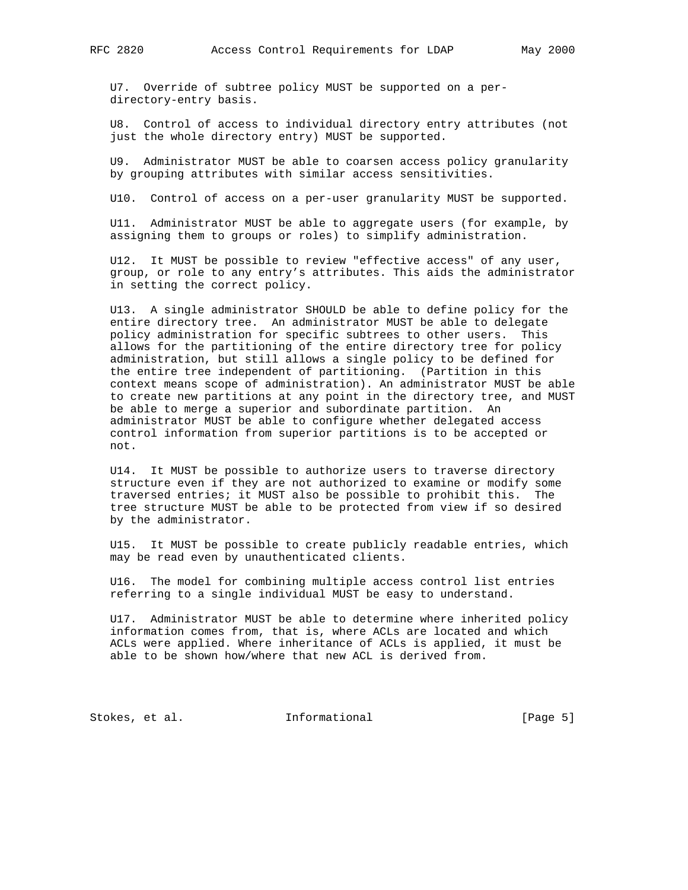U7. Override of subtree policy MUST be supported on a per directory-entry basis.

 U8. Control of access to individual directory entry attributes (not just the whole directory entry) MUST be supported.

 U9. Administrator MUST be able to coarsen access policy granularity by grouping attributes with similar access sensitivities.

U10. Control of access on a per-user granularity MUST be supported.

 U11. Administrator MUST be able to aggregate users (for example, by assigning them to groups or roles) to simplify administration.

 U12. It MUST be possible to review "effective access" of any user, group, or role to any entry's attributes. This aids the administrator in setting the correct policy.

 U13. A single administrator SHOULD be able to define policy for the entire directory tree. An administrator MUST be able to delegate policy administration for specific subtrees to other users. This allows for the partitioning of the entire directory tree for policy administration, but still allows a single policy to be defined for the entire tree independent of partitioning. (Partition in this context means scope of administration). An administrator MUST be able to create new partitions at any point in the directory tree, and MUST be able to merge a superior and subordinate partition. An administrator MUST be able to configure whether delegated access control information from superior partitions is to be accepted or not.

 U14. It MUST be possible to authorize users to traverse directory structure even if they are not authorized to examine or modify some traversed entries; it MUST also be possible to prohibit this. The tree structure MUST be able to be protected from view if so desired by the administrator.

 U15. It MUST be possible to create publicly readable entries, which may be read even by unauthenticated clients.

 U16. The model for combining multiple access control list entries referring to a single individual MUST be easy to understand.

 U17. Administrator MUST be able to determine where inherited policy information comes from, that is, where ACLs are located and which ACLs were applied. Where inheritance of ACLs is applied, it must be able to be shown how/where that new ACL is derived from.

Stokes, et al. 1nformational 1999 [Page 5]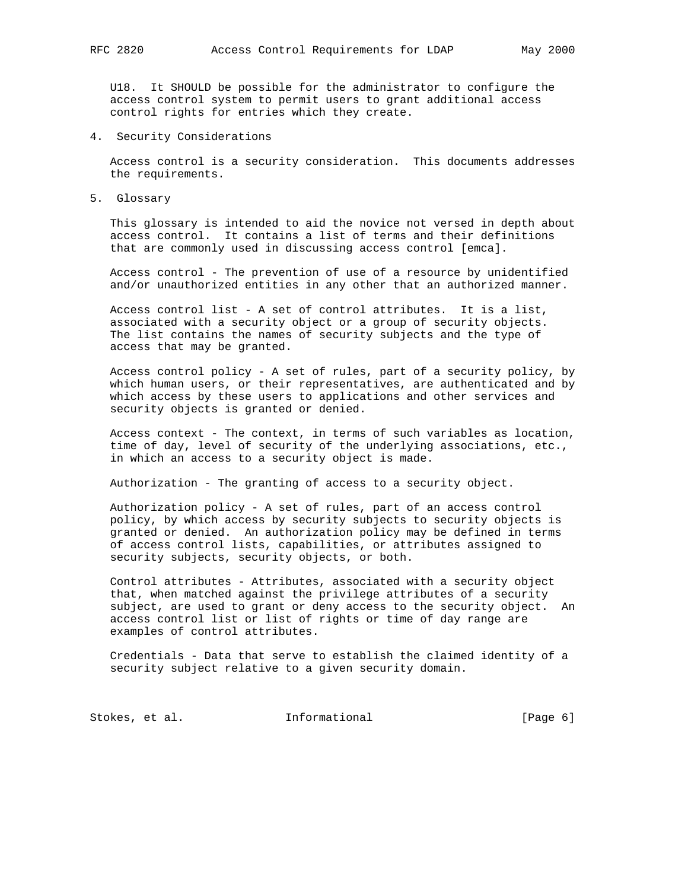U18. It SHOULD be possible for the administrator to configure the access control system to permit users to grant additional access control rights for entries which they create.

4. Security Considerations

 Access control is a security consideration. This documents addresses the requirements.

5. Glossary

 This glossary is intended to aid the novice not versed in depth about access control. It contains a list of terms and their definitions that are commonly used in discussing access control [emca].

 Access control - The prevention of use of a resource by unidentified and/or unauthorized entities in any other that an authorized manner.

 Access control list - A set of control attributes. It is a list, associated with a security object or a group of security objects. The list contains the names of security subjects and the type of access that may be granted.

 Access control policy - A set of rules, part of a security policy, by which human users, or their representatives, are authenticated and by which access by these users to applications and other services and security objects is granted or denied.

 Access context - The context, in terms of such variables as location, time of day, level of security of the underlying associations, etc., in which an access to a security object is made.

Authorization - The granting of access to a security object.

 Authorization policy - A set of rules, part of an access control policy, by which access by security subjects to security objects is granted or denied. An authorization policy may be defined in terms of access control lists, capabilities, or attributes assigned to security subjects, security objects, or both.

 Control attributes - Attributes, associated with a security object that, when matched against the privilege attributes of a security subject, are used to grant or deny access to the security object. An access control list or list of rights or time of day range are examples of control attributes.

 Credentials - Data that serve to establish the claimed identity of a security subject relative to a given security domain.

Stokes, et al. 1nformational [Page 6]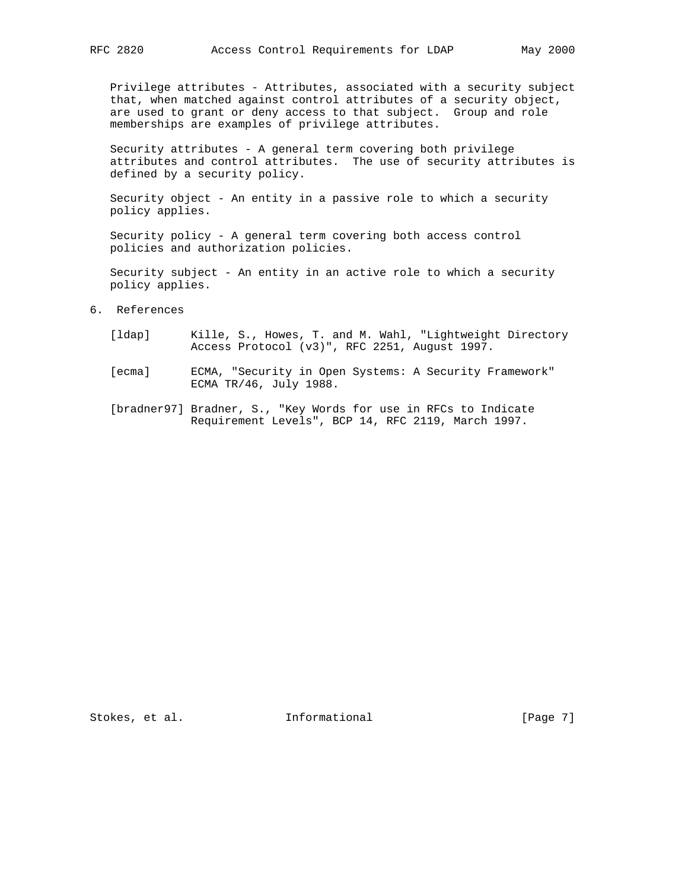Privilege attributes - Attributes, associated with a security subject that, when matched against control attributes of a security object, are used to grant or deny access to that subject. Group and role memberships are examples of privilege attributes.

 Security attributes - A general term covering both privilege attributes and control attributes. The use of security attributes is defined by a security policy.

 Security object - An entity in a passive role to which a security policy applies.

 Security policy - A general term covering both access control policies and authorization policies.

 Security subject - An entity in an active role to which a security policy applies.

- 6. References
	- [ldap] Kille, S., Howes, T. and M. Wahl, "Lightweight Directory Access Protocol (v3)", RFC 2251, August 1997.
	- [ecma] ECMA, "Security in Open Systems: A Security Framework" ECMA TR/46, July 1988.
	- [bradner97] Bradner, S., "Key Words for use in RFCs to Indicate Requirement Levels", BCP 14, RFC 2119, March 1997.

Stokes, et al. Informational [Page 7]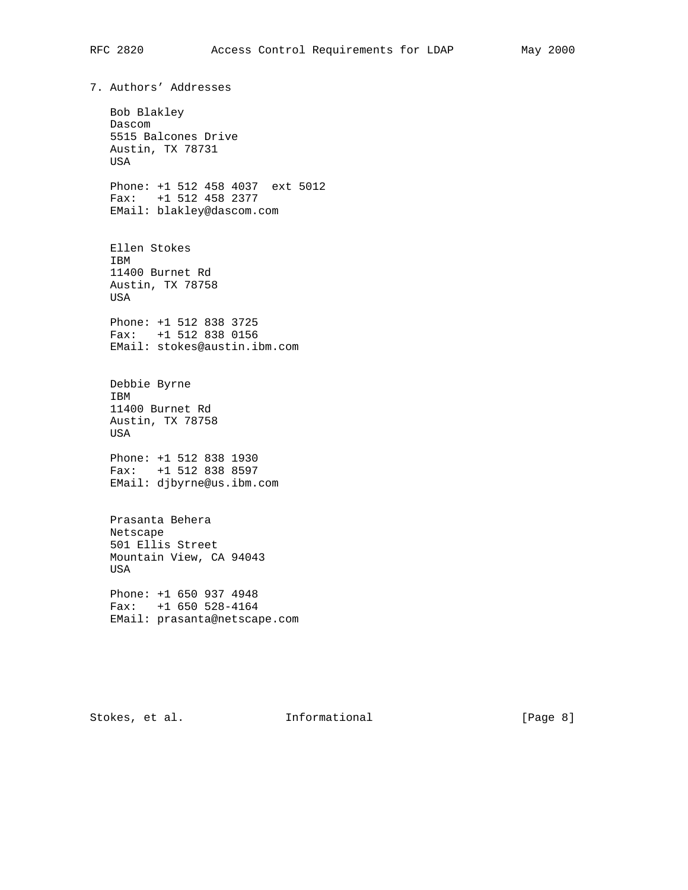7. Authors' Addresses Bob Blakley Dascom 5515 Balcones Drive Austin, TX 78731 USA Phone: +1 512 458 4037 ext 5012 Fax: +1 512 458 2377 EMail: blakley@dascom.com Ellen Stokes IBM 11400 Burnet Rd Austin, TX 78758 USA Phone: +1 512 838 3725 Fax: +1 512 838 0156 EMail: stokes@austin.ibm.com Debbie Byrne IBM 11400 Burnet Rd Austin, TX 78758 USA Phone: +1 512 838 1930 Fax: +1 512 838 8597 EMail: djbyrne@us.ibm.com Prasanta Behera Netscape 501 Ellis Street Mountain View, CA 94043 USA Phone: +1 650 937 4948 Fax: +1 650 528-4164 EMail: prasanta@netscape.com

Stokes, et al. 1nformational 1999 [Page 8]